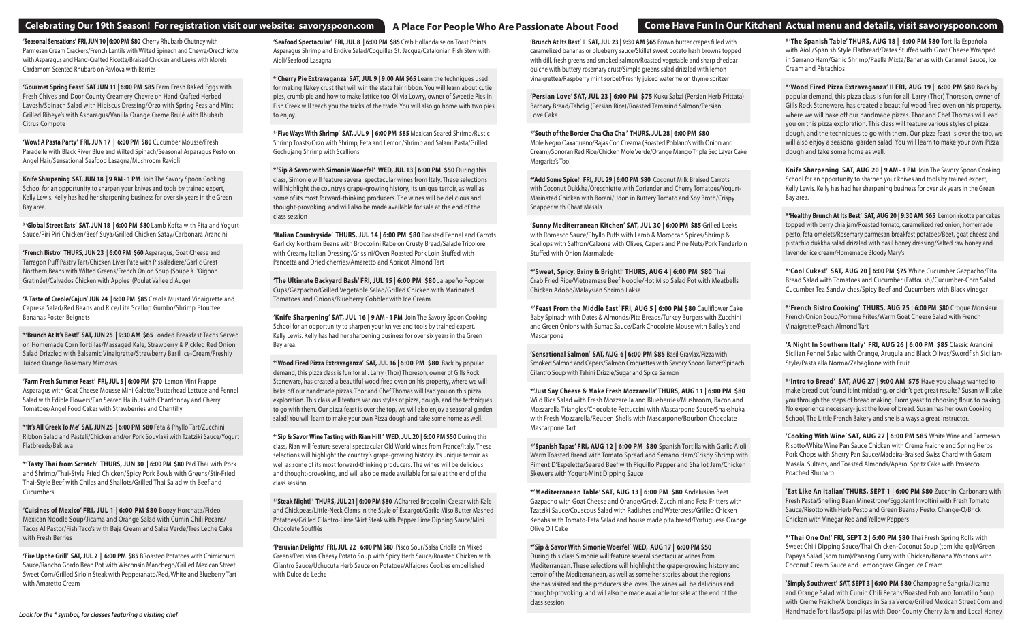#### **Celebrating Our 19th Season! For registration visit our website: savoryspoon.com**

**'Seasonal Sensations' FRI, JUN 10 | 6:00 PM \$80** Cherry Rhubarb Chutney with Parmesan Cream Crackers/French Lentils with Wilted Spinach and Chevre/Orecchiette with Asparagus and Hand-Crafted Ricotta/Braised Chicken and Leeks with Morels Cardamom Scented Rhubarb on Pavlova with Berries

**'Gourmet Spring Feast' SAT JUN 11 | 6:00 PM \$85** Farm Fresh Baked Eggs with Fresh Chives and Door County Creamery Chevre on Hand Crafted Herbed Lavosh/Spinach Salad with Hibiscus Dressing/Orzo with Spring Peas and Mint Grilled Ribeye's with Asparagus/Vanilla Orange Crème Brulé with Rhubarb Citrus Compote

**'Wow! A Pasta Party' FRI, JUN 17 | 6:00 PM \$80** Cucumber Mousse/Fresh Paradelle with Black River Blue and Wilted Spinach/Seasonal Asparagus Pesto on Angel Hair/Sensational Seafood Lasagna/Mushroom Ravioli

**Knife Sharpening SAT, JUN 18 | 9 AM - 1 PM** Join The Savory Spoon Cooking School for an opportunity to sharpen your knives and tools by trained expert, Kelly Lewis. Kelly has had her sharpening business for over six years in the Green Bay area.

**\*'Global Street Eats' SAT, JUN 18 | 6:00 PM \$80** Lamb Kofta with Pita and Yogurt Sauce/Piri Piri Chicken/Beef Suya/Grilled Chicken Satay/Carbonara Arancini

**'French Bistro' THURS, JUN 23 | 6:00 PM \$60** Asparagus, Goat Cheese and Tarragon Puff Pastry Tart/Chicken Liver Pate with Pissaladiere/Garlic Great Northern Beans with Wilted Greens/French Onion Soup (Soupe à l'Oignon Gratinée)/Calvados Chicken with Apples (Poulet Vallee d Auge)

**'A Taste of Creole/Cajun' JUN 24 | 6:00 PM \$85** Creole Mustard Vinaigrette and Caprese Salad/Red Beans and Rice/Lite Scallop Gumbo/Shrimp Etouffee Bananas Foster Beignets

**\*'Brunch At It's Best!' SAT, JUN 25 | 9:30 AM \$65** Loaded Breakfast Tacos Served on Homemade Corn Tortillas/Massaged Kale, Strawberry & Pickled Red Onion Salad Drizzled with Balsamic Vinaigrette/Strawberry Basil Ice-Cream/Freshly Juiced Orange Rosemary Mimosas

**'Farm Fresh Summer Feast' FRI, JUL 5 | 6:00 PM \$70** Lemon Mint Frappe Asparagus with Goat Cheese Mousse Mini Galette/Butterhead Lettuce and Fennel Salad with Edible Flowers/Pan Seared Halibut with Chardonnay and Cherry Tomatoes/Angel Food Cakes with Strawberries and Chantilly

**\*'It's All Greek To Me' SAT, JUN 25 | 6:00 PM \$80** Feta & Phyllo Tart/Zucchini Ribbon Salad and Pasteli/Chicken and/or Pork Souvlaki with Tzatziki Sauce/Yogurt Flatbreads/Baklava

**\*'Tasty Thai from Scratch' THURS, JUN 30 | 6:00 PM \$80** Pad Thai with Pork and Shrimp/Thai-Style Fried Chicken/Spicy Pork Bowls with Greens/Stir-Fried Thai-Style Beef with Chiles and Shallots/Grilled Thai Salad with Beef and Cucumbers

**'Cuisines of Mexico' FRI, JUL 1 | 6:00 PM \$80** Boozy Horchata/Fideo Mexican Noodle Soup/Jicama and Orange Salad with Cumin Chili Pecans/ Tacos Al Pastor/Fish Taco's with Baja Cream and Salsa Verde/Tres Leche Cake with Fresh Berries

**'Fire Up the Grill' SAT, JUL 2 | 6:00 PM \$85** BRoasted Potatoes with Chimichurri Sauce/Rancho Gordo Bean Pot with Wisconsin Manchego/Grilled Mexican Street Sweet Corn/Grilled Sirloin Steak with Pepperanato/Red, White and Blueberry Tart with Amaretto Cream

**'Seafood Spectacular' FRI, JUL 8 | 6:00 PM \$85** Crab Hollandaise on Toast Points Asparagus Shrimp and Endive Salad/Coquilles St. Jacque/Catalonian Fish Stew with Aioli/Seafood Lasagna

**\*'Cherry Pie Extravaganza' SAT, JUL 9 | 9:00 AM \$65** Learn the techniques used for making flakey crust that will win the state fair ribbon. You will learn about cutie pies, crumb pie and how to make lattice too. Olivia Lowry, owner of Sweetie Pies in Fish Creek will teach you the tricks of the trade. You will also go home with two pies to enjoy.

**\*'Five Ways With Shrimp' SAT, JUL 9 | 6:00 PM \$85** Mexican Seared Shrimp/Rustic Shrimp Toasts/Orzo with Shrimp, Feta and Lemon/Shrimp and Salami Pasta/Grilled Gochujang Shrimp with Scallions

**\*'Sip & Savor with Simonie Woerfel' WED, JUL 13 | 6:00 PM \$50** During this class, Simonie will feature several spectacular wines from Italy. These selections will highlight the country's grape-growing history, its unique terroir, as well as some of its most forward-thinking producers. The wines will be delicious and thought-provoking, and will also be made available for sale at the end of the class session

> **\*'Feast From the Middle East' FRI, AUG 5 | 6:00 PM \$80** Cauliflower Cake Baby Spinach with Dates & Almonds/Pita Breads/Turkey Burgers with Zucchini and Green Onions with Sumac Sauce/Dark Chocolate Mouse with Bailey's and **Mascarpone**

**'Italian Countryside' THURS, JUL 14 | 6:00 PM \$80** Roasted Fennel and Carrots Garlicky Northern Beans with Broccolini Rabe on Crusty Bread/Salade Tricolore with Creamy Italian Dressing/Grissini/Oven Roasted Pork Loin Stuffed with Pancetta and Dried cherries/Amaretto and Apricot Almond Tart

**'The Ultimate Backyard Bash' FRI, JUL 15 | 6:00 PM \$80** Jalapeño Popper Cups/Gazpacho/Grilled Vegetable Salad/Grilled Chicken with Marinated Tomatoes and Onions/Blueberry Cobbler with Ice Cream

**'Knife Sharpening' SAT, JUL 16 | 9 AM - 1 PM** Join The Savory Spoon Cooking School for an opportunity to sharpen your knives and tools by trained expert, Kelly Lewis. Kelly has had her sharpening business for over six years in the Green Bay area.

**\*'Wood Fired Pizza Extravaganza' SAT, JUL 16 | 6:00 PM \$80** Back by popular demand, this pizza class is fun for all. Larry (Thor) Thoreson, owner of Gills Rock Stoneware, has created a beautiful wood fired oven on his property, where we will bake off our handmade pizzas. Thor and Chef Thomas will lead you on this pizza exploration. This class will feature various styles of pizza, dough, and the techniques to go with them. Our pizza feast is over the top, we will also enjoy a seasonal garden salad! You will learn to make your own Pizza dough and take some home as well.

**\*'Sip & Savor Wine Tasting with Rian Hill ' WED, JUL 20 | 6:00 PM \$50** During this class, Rian will feature several spectacular Old World wines from France/Italy. These selections will highlight the country's grape-growing history, its unique terroir, as well as some of its most forward-thinking producers. The wines will be delicious and thought-provoking, and will also be made available for sale at the end of the class session

**\*'Steak Night! ' THURS, JUL 21 | 6:00 PM \$80** ACharred Broccolini Caesar with Kale and Chickpeas/Little-Neck Clams in the Style of Escargot/Garlic Miso Butter Mashed Potatoes/Grilled Cilantro-Lime Skirt Steak with Pepper Lime Dipping Sauce/Mini Chocolate Soufflés

**'Peruvian Delights' FRI, JUL 22 | 6:00 PM \$80** Pisco Sour/Salsa Criolla on Mixed Greens/Peruvian Cheesy Potato Soup with Spicy Herb Sauce/Roasted Chicken with Cilantro Sauce/Uchucuta Herb Sauce on Potatoes/Alfajores Cookies embellished with Dulce de Leche

### A Place For People Who Are Passionate About Food **Come Have Fun In Our Kitchen! Actual menu and details, visit savoryspoon.com**

**'Brunch At Its Best' II SAT, JUL 23 | 9:30 AM \$65** Brown butter crepes filled with

caramelized bananas or blueberry sauce/Skillet sweet potato hash browns topped with dill, fresh greens and smoked salmon/Roasted vegetable and sharp cheddar quiche with buttery rosemary crust/Simple greens salad drizzled with lemon vinaigrettea/Raspberry mint sorbet/Freshly juiced watermelon thyme spritzer

**'Persian Love' SAT, JUL 23 | 6:00 PM \$75** Kuku Sabzi (Persian Herb Frittata) Barbary Bread/Tahdig (Persian Rice)/Roasted Tamarind Salmon/Persian Love Cake

**\*'South of the Border Cha Cha Cha ' THURS, JUL 28 | 6:00 PM \$80** Mole Negro Oaxaqueno/Rajas Con Creama (Roasted Poblano's with Onion and Cream)/Sonoran Red Rice/Chicken Mole Verde/Orange Mango Triple Sec Layer Cake Margarita's Too!

**\*'Add Some Spice!' FRI, JUL 29 | 6:00 PM \$80** Coconut Milk Braised Carrots with Coconut Dukkha/Orecchiette with Coriander and Cherry Tomatoes/Yogurt-Marinated Chicken with Borani/Udon in Buttery Tomato and Soy Broth/Crispy Snapper with Chaat Masala

**'Sunny Mediterranean Kitchen' SAT, JUL 30 | 6:00 PM \$85** Grilled Leeks with Romesco Sauce/Phyllo Puffs with Lamb & Moroccan Spices/Shrimp & Scallops with Saffron/Calzone with Olives, Capers and Pine Nuts/Pork Tenderloin Stuffed with Onion Marmalade

**\*'Sweet, Spicy, Briny & Bright!' THURS, AUG 4 | 6:00 PM \$80** Thai Crab Fried Rice/Vietnamese Beef Noodle/Hot Miso Salad Pot with Meatballs Chicken Adobo/Malaysian Shrimp Laksa

**'Sensational Salmon' SAT, AUG 6 | 6:00 PM \$85** Basil Gravlax/Pizza with Smoked Salmon and Capers/Salmon Croquettes with Savory Spoon Tarter/Spinach Cilantro Soup with Tahini Drizzle/Sugar and Spice Salmon

**\*'Just Say Cheese & Make Fresh Mozzarella' THURS, AUG 11 | 6:00 PM \$80**  Wild Rice Salad with Fresh Mozzarella and Blueberries/Mushroom, Bacon and Mozzarella Triangles/Chocolate Fettuccini with Mascarpone Sauce/Shakshuka with Fresh Mozzarella/Reuben Shells with Mascarpone/Bourbon Chocolate Mascarpone Tart

**\*'Spanish Tapas' FRI, AUG 12 | 6:00 PM \$80** Spanish Tortilla with Garlic Aioli Warm Toasted Bread with Tomato Spread and Serrano Ham/Crispy Shrimp with Piment D'Espelette/Seared Beef with Piquillo Pepper and Shallot Jam/Chicken Skewers with Yogurt-Mint Dipping Sauce

**\*'Mediterranean Table' SAT, AUG 13 | 6:00 PM \$80** Andalusian Beet Gazpacho with Goat Cheese and Orange/Greek Zucchini and Feta Fritters with Tzatziki Sauce/Couscous Salad with Radishes and Watercress/Grilled Chicken Kebabs with Tomato-Feta Salad and house made pita bread/Portuguese Orange Olive Oil Cake

#### **\*'Sip & Savor With Simonie Woerfel' WED, AUG 17 | 6:00 PM \$50**

During this class Simonie will feature several spectacular wines from Mediterranean. These selections will highlight the grape-growing history and terroir of the Mediterranean, as well as some her stories about the regions she has visited and the producers she loves. The wines will be delicious and thought-provoking, and will also be made available for sale at the end of the class session

**\*'The Spanish Table' THURS, AUG 18 | 6:00 PM \$80** Tortilla Española with Aioli/Spanish Style Flatbread/Dates Stuffed with Goat Cheese Wrapped in Serrano Ham/Garlic Shrimp/Paella Mixta/Bananas with Caramel Sauce, Ice Cream and Pistachios

**\*'Wood Fired Pizza Extravaganza' II FRI, AUG 19 | 6:00 PM \$80** Back by popular demand, this pizza class is fun for all. Larry (Thor) Thoreson, owner of Gills Rock Stoneware, has created a beautiful wood fired oven on his property, where we will bake off our handmade pizzas. Thor and Chef Thomas will lead you on this pizza exploration. This class will feature various styles of pizza, dough, and the techniques to go with them. Our pizza feast is over the top, we will also enjoy a seasonal garden salad! You will learn to make your own Pizza dough and take some home as well.

**Knife Sharpening SAT, AUG 20 | 9 AM - 1 PM** Join The Savory Spoon Cooking School for an opportunity to sharpen your knives and tools by trained expert, Kelly Lewis. Kelly has had her sharpening business for over six years in the Green Bay area.

**\*'Healthy Brunch At Its Best' SAT, AUG 20 | 9:30 AM \$65** Lemon ricotta pancakes topped with berry chia jam/Roasted tomato, caramelized red onion, homemade pesto, feta omelets/Rosemary parmesan breakfast potatoes/Beet, goat cheese and pistachio dukkha salad drizzled with basil honey dressing/Salted raw honey and lavender ice cream/Homemade Bloody Mary's

**\*'Cool Cukes!' SAT, AUG 20 | 6:00 PM \$75** White Cucumber Gazpacho/Pita Bread Salad with Tomatoes and Cucumber (Fattoush)/Cucumber-Corn Salad Cucumber Tea Sandwiches/Spicy Beef and Cucumbers with Black Vinegar

**\*'French Bistro Cooking' THURS, AUG 25 | 6:00 PM \$80** Croque Monsieur French Onion Soup/Pomme Frites/Warm Goat Cheese Salad with French Vinaigrette/Peach Almond Tart

**'A Night In Southern Italy' FRI, AUG 26 | 6:00 PM \$85** Classic Arancini Sicilian Fennel Salad with Orange, Arugula and Black Olives/Swordfish Sicilian-Style/Pasta alla Norma/Zabaglione with Fruit

**\*'Intro to Bread' SAT, AUG 27 | 9:00 AM \$75** Have you always wanted to make bread but found it intimidating, or didn't get great results? Susan will take you through the steps of bread making. From yeast to choosing flour, to baking. No experience necessary- just the love of bread. Susan has her own Cooking School, The Little French Bakery and she is always a great Instructor.

**'Cooking With Wine' SAT, AUG 27 | 6:00 PM \$85** White Wine and Parmesan Risotto/White Wine Pan Sauce Chicken with Creme Fraiche and Spring Herbs Pork Chops with Sherry Pan Sauce/Madeira-Braised Swiss Chard with Garam Masala, Sultans, and Toasted Almonds/Aperol Spritz Cake with Prosecco Poached Rhubarb

**'Eat Like An Italian' THURS, SEPT 1 | 6:00 PM \$80** Zucchini Carbonara with Fresh Pasta/Shelling Bean Minestrone/Eggplant Involtini with Fresh Tomato Sauce/Risotto with Herb Pesto and Green Beans / Pesto, Change-O/Brick Chicken with Vinegar Red and Yellow Peppers

**\*'Thai One On!' FRI, SEPT 2 | 6:00 PM \$80** Thai Fresh Spring Rolls with Sweet Chili Dipping Sauce/Thai Chicken-Coconut Soup (tom kha gai)/Green Papaya Salad (som tum)/Panang Curry with Chicken/Banana Wontons with Coconut Cream Sauce and Lemongrass Ginger Ice Cream

**'Simply Southwest' SAT, SEPT 3 | 6:00 PM \$80** Champagne Sangria/Jicama and Orange Salad with Cumin Chili Pecans/Roasted Poblano Tomatillo Soup with Crème Fraiche/Albondigas in Salsa Verde/Grilled Mexican Street Corn and Handmade Tortillas/Sopaipillas with Door County Cherry Jam and Local Honey